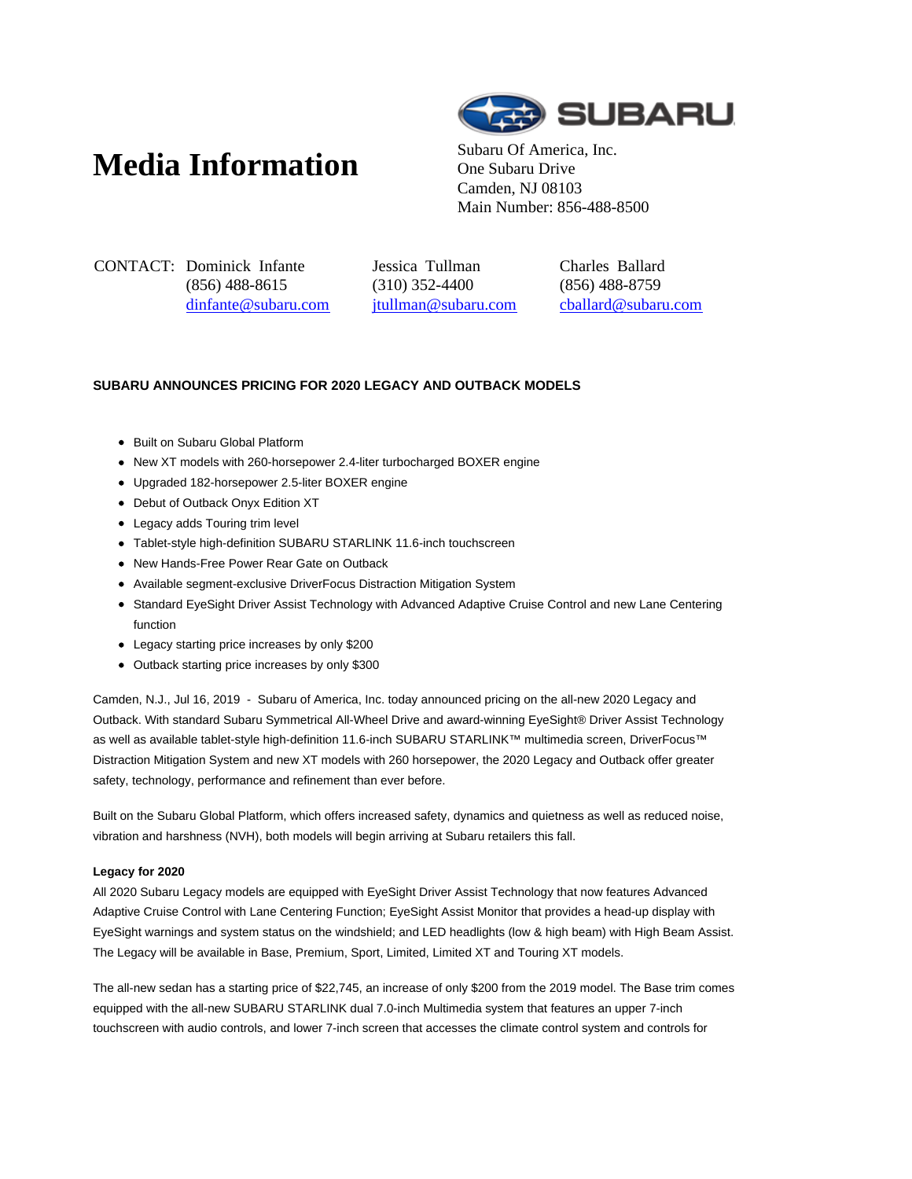# **Media Information** Subaru Of America, Inc.



One Subaru Drive Camden, NJ 08103 Main Number: 856-488-8500

CONTACT: Dominick Infante (856) 488-8615 dinfante@subaru.com Jessica Tullman (310) 352-4400 jtullman@subaru.com Charles Ballard (856) 488-8759 cballard@subaru.com

## **SUBARU ANNOUNCES PRICING FOR 2020 LEGACY AND OUTBACK MODELS**

- Built on Subaru Global Platform
- New XT models with 260-horsepower 2.4-liter turbocharged BOXER engine
- Upgraded 182-horsepower 2.5-liter BOXER engine
- Debut of Outback Onyx Edition XT
- Legacy adds Touring trim level
- Tablet-style high-definition SUBARU STARLINK 11.6-inch touchscreen
- New Hands-Free Power Rear Gate on Outback
- Available segment-exclusive DriverFocus Distraction Mitigation System
- Standard EyeSight Driver Assist Technology with Advanced Adaptive Cruise Control and new Lane Centering function
- Legacy starting price increases by only \$200
- Outback starting price increases by only \$300

Camden, N.J., Jul 16, 2019 - Subaru of America, Inc. today announced pricing on the all-new 2020 Legacy and Outback. With standard Subaru Symmetrical All-Wheel Drive and award-winning EyeSight® Driver Assist Technology as well as available tablet-style high-definition 11.6-inch SUBARU STARLINK™ multimedia screen, DriverFocus™ Distraction Mitigation System and new XT models with 260 horsepower, the 2020 Legacy and Outback offer greater safety, technology, performance and refinement than ever before.

Built on the Subaru Global Platform, which offers increased safety, dynamics and quietness as well as reduced noise, vibration and harshness (NVH), both models will begin arriving at Subaru retailers this fall.

### **Legacy for 2020**

All 2020 Subaru Legacy models are equipped with EyeSight Driver Assist Technology that now features Advanced Adaptive Cruise Control with Lane Centering Function; EyeSight Assist Monitor that provides a head-up display with EyeSight warnings and system status on the windshield; and LED headlights (low & high beam) with High Beam Assist. The Legacy will be available in Base, Premium, Sport, Limited, Limited XT and Touring XT models.

The all-new sedan has a starting price of \$22,745, an increase of only \$200 from the 2019 model. The Base trim comes equipped with the all-new SUBARU STARLINK dual 7.0-inch Multimedia system that features an upper 7-inch touchscreen with audio controls, and lower 7-inch screen that accesses the climate control system and controls for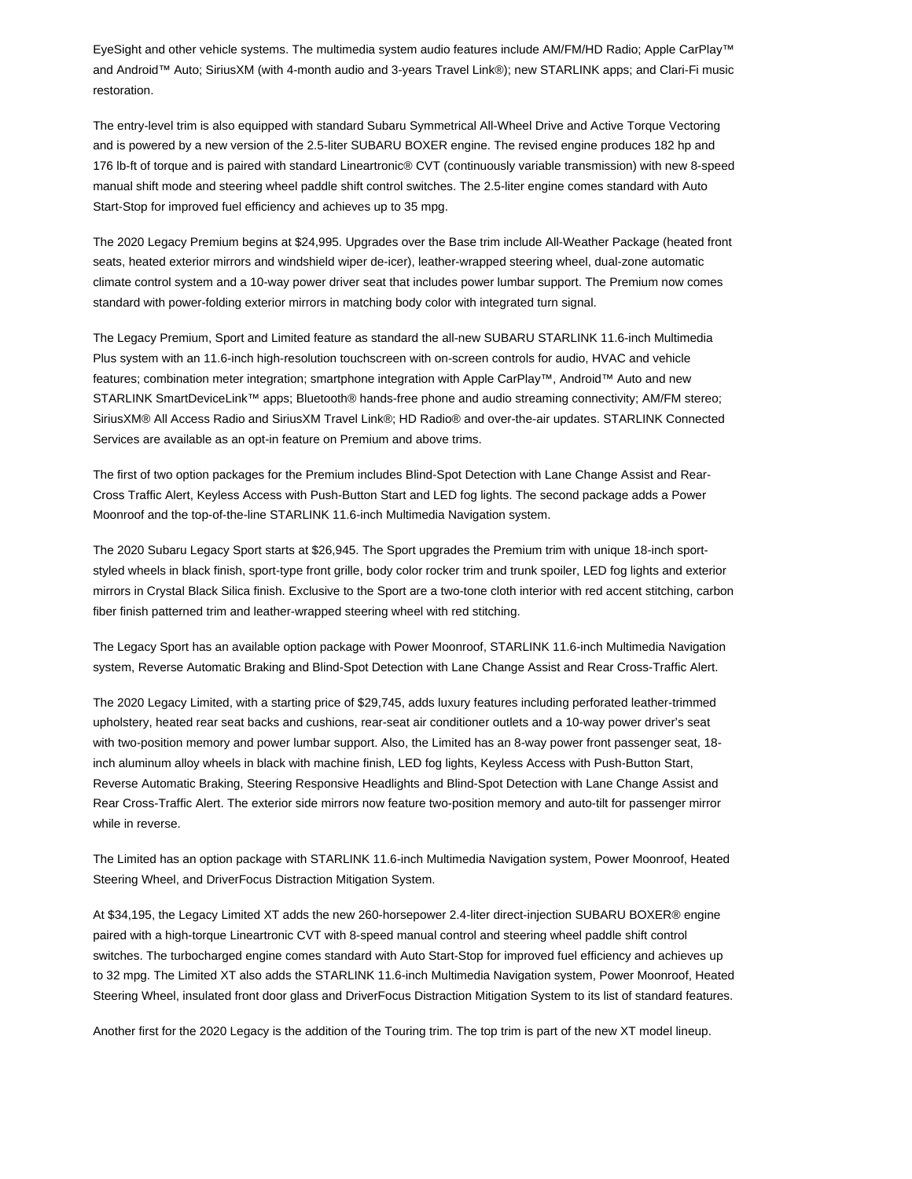EyeSight and other vehicle systems. The multimedia system audio features include AM/FM/HD Radio; Apple CarPlay™ and Android™ Auto; SiriusXM (with 4-month audio and 3-years Travel Link®); new STARLINK apps; and Clari-Fi music restoration.

The entry-level trim is also equipped with standard Subaru Symmetrical All-Wheel Drive and Active Torque Vectoring and is powered by a new version of the 2.5-liter SUBARU BOXER engine. The revised engine produces 182 hp and 176 lb-ft of torque and is paired with standard Lineartronic® CVT (continuously variable transmission) with new 8-speed manual shift mode and steering wheel paddle shift control switches. The 2.5-liter engine comes standard with Auto Start-Stop for improved fuel efficiency and achieves up to 35 mpg.

The 2020 Legacy Premium begins at \$24,995. Upgrades over the Base trim include All-Weather Package (heated front seats, heated exterior mirrors and windshield wiper de-icer), leather-wrapped steering wheel, dual-zone automatic climate control system and a 10-way power driver seat that includes power lumbar support. The Premium now comes standard with power-folding exterior mirrors in matching body color with integrated turn signal.

The Legacy Premium, Sport and Limited feature as standard the all-new SUBARU STARLINK 11.6-inch Multimedia Plus system with an 11.6-inch high-resolution touchscreen with on-screen controls for audio, HVAC and vehicle features; combination meter integration; smartphone integration with Apple CarPlay™, Android™ Auto and new STARLINK SmartDeviceLink™ apps; Bluetooth® hands-free phone and audio streaming connectivity; AM/FM stereo; SiriusXM® All Access Radio and SiriusXM Travel Link®; HD Radio® and over-the-air updates. STARLINK Connected Services are available as an opt-in feature on Premium and above trims.

The first of two option packages for the Premium includes Blind-Spot Detection with Lane Change Assist and Rear-Cross Traffic Alert, Keyless Access with Push-Button Start and LED fog lights. The second package adds a Power Moonroof and the top-of-the-line STARLINK 11.6-inch Multimedia Navigation system.

The 2020 Subaru Legacy Sport starts at \$26,945. The Sport upgrades the Premium trim with unique 18-inch sportstyled wheels in black finish, sport-type front grille, body color rocker trim and trunk spoiler, LED fog lights and exterior mirrors in Crystal Black Silica finish. Exclusive to the Sport are a two-tone cloth interior with red accent stitching, carbon fiber finish patterned trim and leather-wrapped steering wheel with red stitching.

The Legacy Sport has an available option package with Power Moonroof, STARLINK 11.6-inch Multimedia Navigation system, Reverse Automatic Braking and Blind-Spot Detection with Lane Change Assist and Rear Cross-Traffic Alert.

The 2020 Legacy Limited, with a starting price of \$29,745, adds luxury features including perforated leather-trimmed upholstery, heated rear seat backs and cushions, rear-seat air conditioner outlets and a 10-way power driver's seat with two-position memory and power lumbar support. Also, the Limited has an 8-way power front passenger seat, 18 inch aluminum alloy wheels in black with machine finish, LED fog lights, Keyless Access with Push-Button Start, Reverse Automatic Braking, Steering Responsive Headlights and Blind-Spot Detection with Lane Change Assist and Rear Cross-Traffic Alert. The exterior side mirrors now feature two-position memory and auto-tilt for passenger mirror while in reverse.

The Limited has an option package with STARLINK 11.6-inch Multimedia Navigation system, Power Moonroof, Heated Steering Wheel, and DriverFocus Distraction Mitigation System.

At \$34,195, the Legacy Limited XT adds the new 260-horsepower 2.4-liter direct-injection SUBARU BOXER® engine paired with a high-torque Lineartronic CVT with 8-speed manual control and steering wheel paddle shift control switches. The turbocharged engine comes standard with Auto Start-Stop for improved fuel efficiency and achieves up to 32 mpg. The Limited XT also adds the STARLINK 11.6-inch Multimedia Navigation system, Power Moonroof, Heated Steering Wheel, insulated front door glass and DriverFocus Distraction Mitigation System to its list of standard features.

Another first for the 2020 Legacy is the addition of the Touring trim. The top trim is part of the new XT model lineup.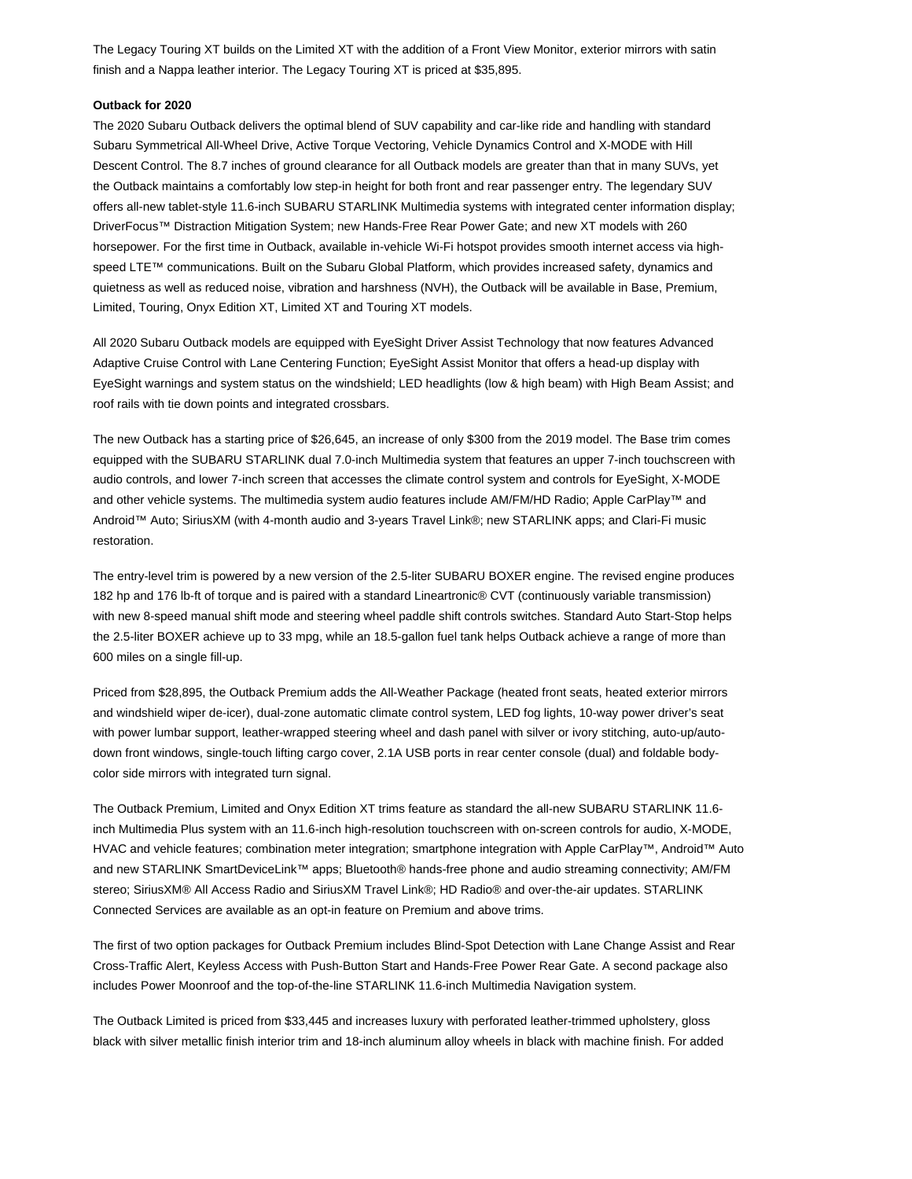The Legacy Touring XT builds on the Limited XT with the addition of a Front View Monitor, exterior mirrors with satin finish and a Nappa leather interior. The Legacy Touring XT is priced at \$35,895.

#### **Outback for 2020**

The 2020 Subaru Outback delivers the optimal blend of SUV capability and car-like ride and handling with standard Subaru Symmetrical All-Wheel Drive, Active Torque Vectoring, Vehicle Dynamics Control and X-MODE with Hill Descent Control. The 8.7 inches of ground clearance for all Outback models are greater than that in many SUVs, yet the Outback maintains a comfortably low step-in height for both front and rear passenger entry. The legendary SUV offers all-new tablet-style 11.6-inch SUBARU STARLINK Multimedia systems with integrated center information display; DriverFocus™ Distraction Mitigation System; new Hands-Free Rear Power Gate; and new XT models with 260 horsepower. For the first time in Outback, available in-vehicle Wi-Fi hotspot provides smooth internet access via highspeed LTE™ communications. Built on the Subaru Global Platform, which provides increased safety, dynamics and quietness as well as reduced noise, vibration and harshness (NVH), the Outback will be available in Base, Premium, Limited, Touring, Onyx Edition XT, Limited XT and Touring XT models.

All 2020 Subaru Outback models are equipped with EyeSight Driver Assist Technology that now features Advanced Adaptive Cruise Control with Lane Centering Function; EyeSight Assist Monitor that offers a head-up display with EyeSight warnings and system status on the windshield; LED headlights (low & high beam) with High Beam Assist; and roof rails with tie down points and integrated crossbars.

The new Outback has a starting price of \$26,645, an increase of only \$300 from the 2019 model. The Base trim comes equipped with the SUBARU STARLINK dual 7.0-inch Multimedia system that features an upper 7-inch touchscreen with audio controls, and lower 7-inch screen that accesses the climate control system and controls for EyeSight, X-MODE and other vehicle systems. The multimedia system audio features include AM/FM/HD Radio; Apple CarPlay™ and Android™ Auto; SiriusXM (with 4-month audio and 3-years Travel Link®; new STARLINK apps; and Clari-Fi music restoration.

The entry-level trim is powered by a new version of the 2.5-liter SUBARU BOXER engine. The revised engine produces 182 hp and 176 lb-ft of torque and is paired with a standard Lineartronic® CVT (continuously variable transmission) with new 8-speed manual shift mode and steering wheel paddle shift controls switches. Standard Auto Start-Stop helps the 2.5-liter BOXER achieve up to 33 mpg, while an 18.5-gallon fuel tank helps Outback achieve a range of more than 600 miles on a single fill-up.

Priced from \$28,895, the Outback Premium adds the All-Weather Package (heated front seats, heated exterior mirrors and windshield wiper de-icer), dual-zone automatic climate control system, LED fog lights, 10-way power driver's seat with power lumbar support, leather-wrapped steering wheel and dash panel with silver or ivory stitching, auto-up/autodown front windows, single-touch lifting cargo cover, 2.1A USB ports in rear center console (dual) and foldable bodycolor side mirrors with integrated turn signal.

The Outback Premium, Limited and Onyx Edition XT trims feature as standard the all-new SUBARU STARLINK 11.6 inch Multimedia Plus system with an 11.6-inch high-resolution touchscreen with on-screen controls for audio, X-MODE, HVAC and vehicle features; combination meter integration; smartphone integration with Apple CarPlay™, Android™ Auto and new STARLINK SmartDeviceLink™ apps; Bluetooth® hands-free phone and audio streaming connectivity; AM/FM stereo; SiriusXM® All Access Radio and SiriusXM Travel Link®; HD Radio® and over-the-air updates. STARLINK Connected Services are available as an opt-in feature on Premium and above trims.

The first of two option packages for Outback Premium includes Blind-Spot Detection with Lane Change Assist and Rear Cross-Traffic Alert, Keyless Access with Push-Button Start and Hands-Free Power Rear Gate. A second package also includes Power Moonroof and the top-of-the-line STARLINK 11.6-inch Multimedia Navigation system.

The Outback Limited is priced from \$33,445 and increases luxury with perforated leather-trimmed upholstery, gloss black with silver metallic finish interior trim and 18-inch aluminum alloy wheels in black with machine finish. For added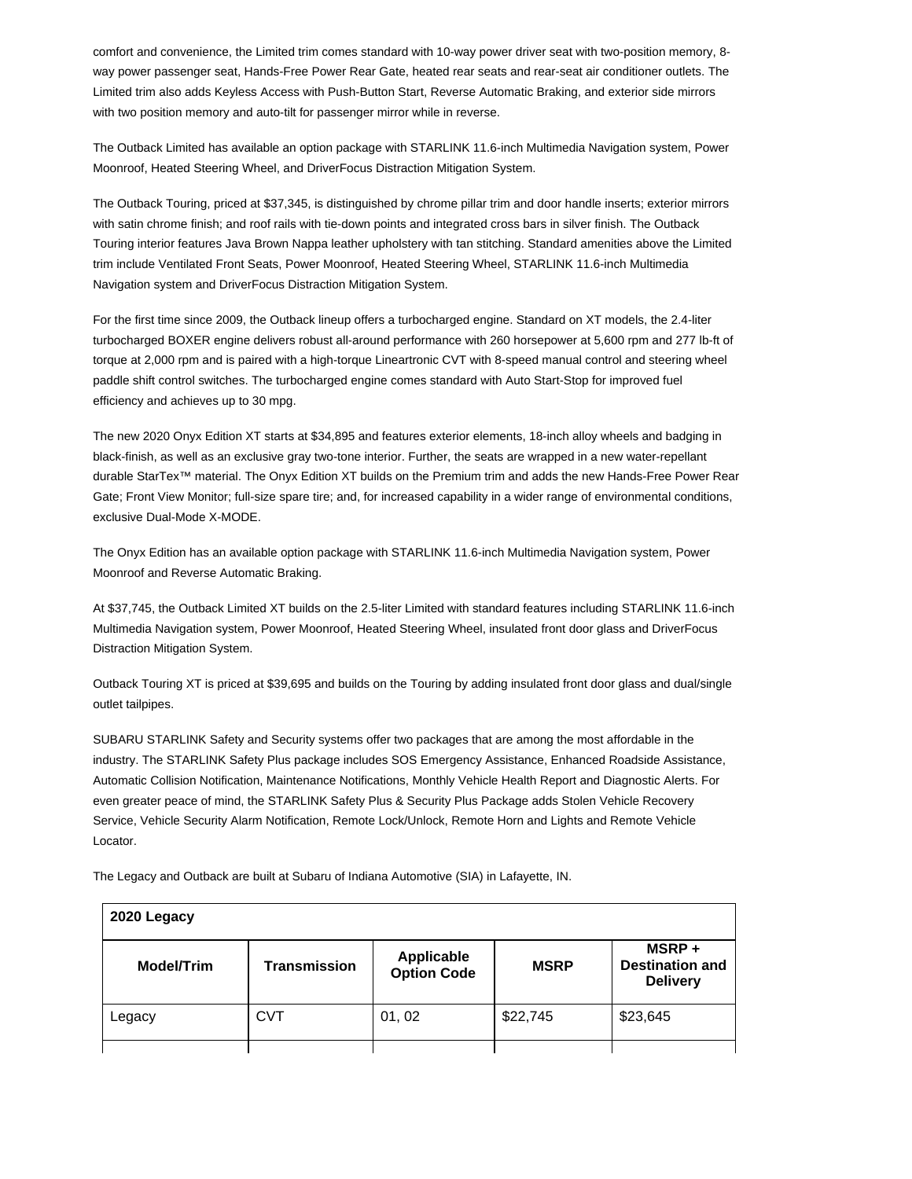comfort and convenience, the Limited trim comes standard with 10-way power driver seat with two-position memory, 8 way power passenger seat, Hands-Free Power Rear Gate, heated rear seats and rear-seat air conditioner outlets. The Limited trim also adds Keyless Access with Push-Button Start, Reverse Automatic Braking, and exterior side mirrors with two position memory and auto-tilt for passenger mirror while in reverse.

The Outback Limited has available an option package with STARLINK 11.6-inch Multimedia Navigation system, Power Moonroof, Heated Steering Wheel, and DriverFocus Distraction Mitigation System.

The Outback Touring, priced at \$37,345, is distinguished by chrome pillar trim and door handle inserts; exterior mirrors with satin chrome finish; and roof rails with tie-down points and integrated cross bars in silver finish. The Outback Touring interior features Java Brown Nappa leather upholstery with tan stitching. Standard amenities above the Limited trim include Ventilated Front Seats, Power Moonroof, Heated Steering Wheel, STARLINK 11.6-inch Multimedia Navigation system and DriverFocus Distraction Mitigation System.

For the first time since 2009, the Outback lineup offers a turbocharged engine. Standard on XT models, the 2.4-liter turbocharged BOXER engine delivers robust all-around performance with 260 horsepower at 5,600 rpm and 277 lb-ft of torque at 2,000 rpm and is paired with a high-torque Lineartronic CVT with 8-speed manual control and steering wheel paddle shift control switches. The turbocharged engine comes standard with Auto Start-Stop for improved fuel efficiency and achieves up to 30 mpg.

The new 2020 Onyx Edition XT starts at \$34,895 and features exterior elements, 18-inch alloy wheels and badging in black-finish, as well as an exclusive gray two-tone interior. Further, the seats are wrapped in a new water-repellant durable StarTex™ material. The Onyx Edition XT builds on the Premium trim and adds the new Hands-Free Power Rear Gate; Front View Monitor; full-size spare tire; and, for increased capability in a wider range of environmental conditions, exclusive Dual-Mode X-MODE.

The Onyx Edition has an available option package with STARLINK 11.6-inch Multimedia Navigation system, Power Moonroof and Reverse Automatic Braking.

At \$37,745, the Outback Limited XT builds on the 2.5-liter Limited with standard features including STARLINK 11.6-inch Multimedia Navigation system, Power Moonroof, Heated Steering Wheel, insulated front door glass and DriverFocus Distraction Mitigation System.

Outback Touring XT is priced at \$39,695 and builds on the Touring by adding insulated front door glass and dual/single outlet tailpipes.

SUBARU STARLINK Safety and Security systems offer two packages that are among the most affordable in the industry. The STARLINK Safety Plus package includes SOS Emergency Assistance, Enhanced Roadside Assistance, Automatic Collision Notification, Maintenance Notifications, Monthly Vehicle Health Report and Diagnostic Alerts. For even greater peace of mind, the STARLINK Safety Plus & Security Plus Package adds Stolen Vehicle Recovery Service, Vehicle Security Alarm Notification, Remote Lock/Unlock, Remote Horn and Lights and Remote Vehicle Locator.

| 2020 Legacy       |                     |                                         |             |                                                    |
|-------------------|---------------------|-----------------------------------------|-------------|----------------------------------------------------|
| <b>Model/Trim</b> | <b>Transmission</b> | <b>Applicable</b><br><b>Option Code</b> | <b>MSRP</b> | MSRP+<br><b>Destination and</b><br><b>Delivery</b> |
| Legacy            | <b>CVT</b>          | 01,02                                   | \$22,745    | \$23,645                                           |
|                   |                     |                                         |             |                                                    |

The Legacy and Outback are built at Subaru of Indiana Automotive (SIA) in Lafayette, IN.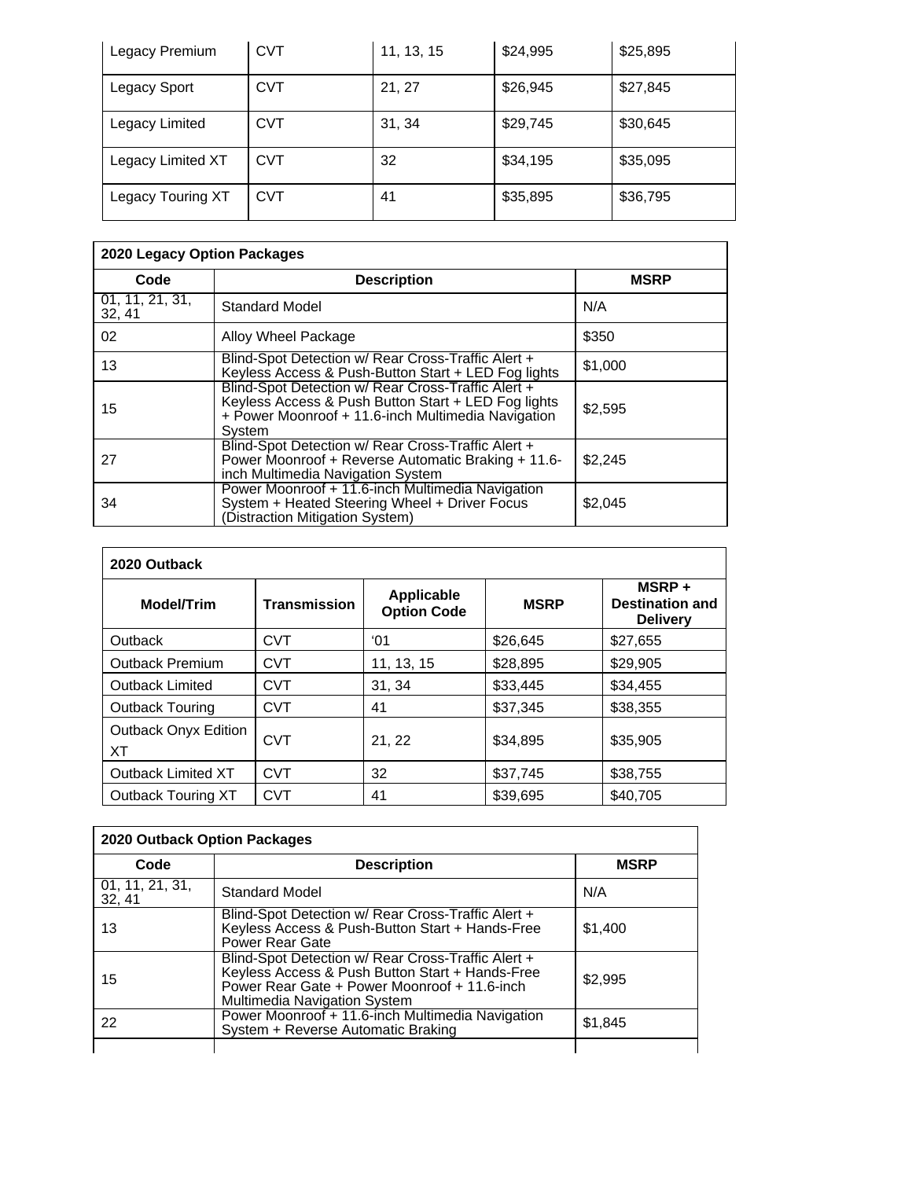| Legacy Premium    | <b>CVT</b> | 11, 13, 15 | \$24,995 | \$25,895 |
|-------------------|------------|------------|----------|----------|
| Legacy Sport      | <b>CVT</b> | 21, 27     | \$26,945 | \$27,845 |
| Legacy Limited    | CVT        | 31, 34     | \$29,745 | \$30,645 |
| Legacy Limited XT | CVT        | 32         | \$34,195 | \$35,095 |
| Legacy Touring XT | CVT        | 41         | \$35,895 | \$36,795 |

| 2020 Legacy Option Packages |                                                                                                                                                                           |             |  |
|-----------------------------|---------------------------------------------------------------------------------------------------------------------------------------------------------------------------|-------------|--|
| Code                        | <b>Description</b>                                                                                                                                                        | <b>MSRP</b> |  |
| 01, 11, 21, 31,<br>32, 41   | Standard Model                                                                                                                                                            | N/A         |  |
| 02                          | Alloy Wheel Package                                                                                                                                                       | \$350       |  |
| 13                          | Blind-Spot Detection w/ Rear Cross-Traffic Alert +<br>Keyless Access & Push-Button Start + LED Fog lights                                                                 | \$1,000     |  |
| 15                          | Blind-Spot Detection w/ Rear Cross-Traffic Alert +<br>Keyless Access & Push Button Start + LED Fog lights<br>+ Power Moonroof + 11.6-inch Multimedia Navigation<br>System | \$2,595     |  |
| 27                          | Blind-Spot Detection w/ Rear Cross-Traffic Alert +<br>Power Moonroof + Reverse Automatic Braking + 11.6-<br>inch Multimedia Navigation System                             | \$2,245     |  |
| 34                          | Power Moonroof + 11.6-inch Multimedia Navigation<br>System + Heated Steering Wheel + Driver Focus<br>(Distraction Mitigation System)                                      | \$2,045     |  |

| 2020 Outback                      |                     |                                         |             |                                                    |
|-----------------------------------|---------------------|-----------------------------------------|-------------|----------------------------------------------------|
| <b>Model/Trim</b>                 | <b>Transmission</b> | <b>Applicable</b><br><b>Option Code</b> | <b>MSRP</b> | MSRP+<br><b>Destination and</b><br><b>Delivery</b> |
| Outback                           | <b>CVT</b>          | $^{\circ}$ 01                           | \$26,645    | \$27.655                                           |
| Outback Premium                   | <b>CVT</b>          | 11, 13, 15                              | \$28,895    | \$29,905                                           |
| <b>Outback Limited</b>            | <b>CVT</b>          | 31, 34                                  | \$33,445    | \$34,455                                           |
| <b>Outback Touring</b>            | <b>CVT</b>          | 41                                      | \$37.345    | \$38,355                                           |
| <b>Outback Onyx Edition</b><br>XT | <b>CVT</b>          | 21, 22                                  | \$34,895    | \$35,905                                           |
| <b>Outback Limited XT</b>         | <b>CVT</b>          | 32                                      | \$37,745    | \$38,755                                           |
| <b>Outback Touring XT</b>         | <b>CVT</b>          | 41                                      | \$39,695    | \$40,705                                           |

| 2020 Outback Option Packages |                                                                                                                                                                                       |             |  |
|------------------------------|---------------------------------------------------------------------------------------------------------------------------------------------------------------------------------------|-------------|--|
| Code                         | <b>Description</b>                                                                                                                                                                    | <b>MSRP</b> |  |
| 01, 11, 21, 31,<br>32, 41    | <b>Standard Model</b>                                                                                                                                                                 | N/A         |  |
| 13                           | Blind-Spot Detection w/ Rear Cross-Traffic Alert +<br>Keyless Access & Push-Button Start + Hands-Free<br><b>Power Rear Gate</b>                                                       | \$1,400     |  |
| 15                           | Blind-Spot Detection w/ Rear Cross-Traffic Alert +<br>Keyless Access & Push Button Start + Hands-Free<br>Power Rear Gate + Power Moonroof + 11.6-inch<br>Multimedia Navigation System | \$2,995     |  |
| 22                           | Power Moonroof + 11.6-inch Multimedia Navigation<br>System + Reverse Automatic Braking                                                                                                | \$1,845     |  |
|                              |                                                                                                                                                                                       |             |  |